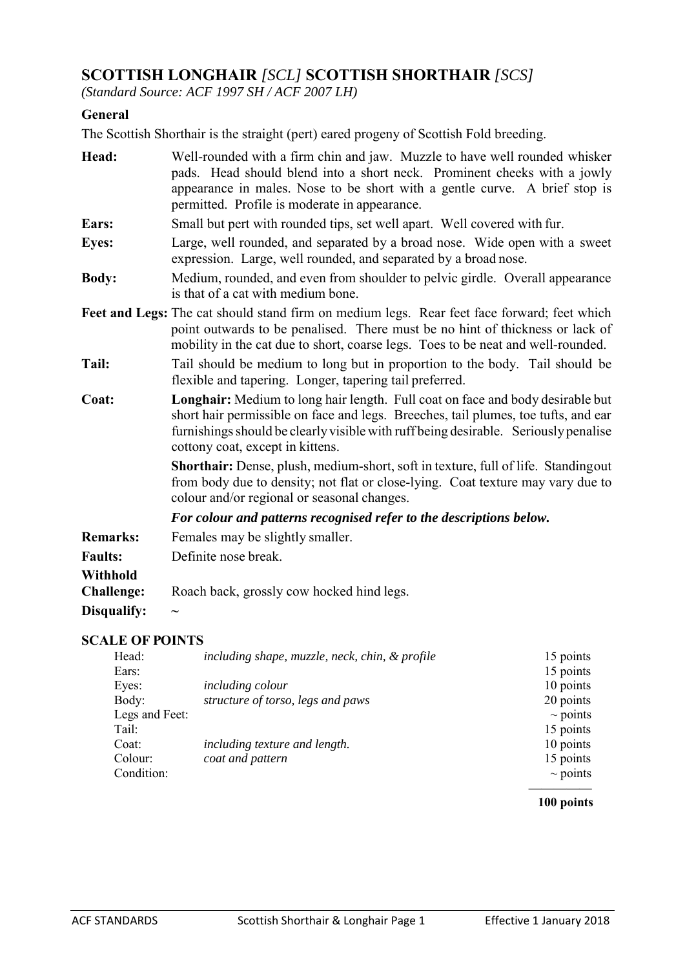# **SCOTTISH LONGHAIR** *[SCL]* **SCOTTISH SHORTHAIR** *[SCS]*

*(Standard Source: ACF 1997 SH / ACF 2007 LH)* 

### **General**

The Scottish Shorthair is the straight (pert) eared progeny of Scottish Fold breeding.

| Head:                         | Well-rounded with a firm chin and jaw. Muzzle to have well rounded whisker<br>pads. Head should blend into a short neck. Prominent cheeks with a jowly<br>appearance in males. Nose to be short with a gentle curve. A brief stop is<br>permitted. Profile is moderate in appearance.                  |
|-------------------------------|--------------------------------------------------------------------------------------------------------------------------------------------------------------------------------------------------------------------------------------------------------------------------------------------------------|
| Ears:                         | Small but pert with rounded tips, set well apart. Well covered with fur.                                                                                                                                                                                                                               |
| <b>Eyes:</b>                  | Large, well rounded, and separated by a broad nose. Wide open with a sweet<br>expression. Large, well rounded, and separated by a broad nose.                                                                                                                                                          |
| <b>Body:</b>                  | Medium, rounded, and even from shoulder to pelvic girdle. Overall appearance<br>is that of a cat with medium bone.                                                                                                                                                                                     |
|                               | Feet and Legs: The cat should stand firm on medium legs. Rear feet face forward; feet which<br>point outwards to be penalised. There must be no hint of thickness or lack of<br>mobility in the cat due to short, coarse legs. Toes to be neat and well-rounded.                                       |
| Tail:                         | Tail should be medium to long but in proportion to the body. Tail should be<br>flexible and tapering. Longer, tapering tail preferred.                                                                                                                                                                 |
| Coat:                         | <b>Longhair:</b> Medium to long hair length. Full coat on face and body desirable but<br>short hair permissible on face and legs. Breeches, tail plumes, toe tufts, and ear<br>furnishings should be clearly visible with ruff being desirable. Seriously penalise<br>cottony coat, except in kittens. |
|                               | Shorthair: Dense, plush, medium-short, soft in texture, full of life. Standingout<br>from body due to density; not flat or close-lying. Coat texture may vary due to<br>colour and/or regional or seasonal changes.                                                                                    |
|                               | For colour and patterns recognised refer to the descriptions below.                                                                                                                                                                                                                                    |
| <b>Remarks:</b>               | Females may be slightly smaller.                                                                                                                                                                                                                                                                       |
| <b>Faults:</b>                | Definite nose break.                                                                                                                                                                                                                                                                                   |
| Withhold<br><b>Challenge:</b> | Roach back, grossly cow hocked hind legs.                                                                                                                                                                                                                                                              |

Disqualify:  $\sim$ 

## **SCALE OF POINTS**

| Head:          | including shape, muzzle, neck, chin, & profile | 15 points     |
|----------------|------------------------------------------------|---------------|
| Ears:          |                                                | 15 points     |
| Eyes:          | <i>including colour</i>                        | 10 points     |
| Body:          | structure of torso, legs and paws              | 20 points     |
| Legs and Feet: |                                                | $\sim$ points |
| Tail:          |                                                | 15 points     |
| Coat:          | including texture and length.                  | 10 points     |
| Colour:        | coat and pattern                               | 15 points     |
| Condition:     |                                                | $\sim$ points |
|                |                                                |               |

 **100 points**